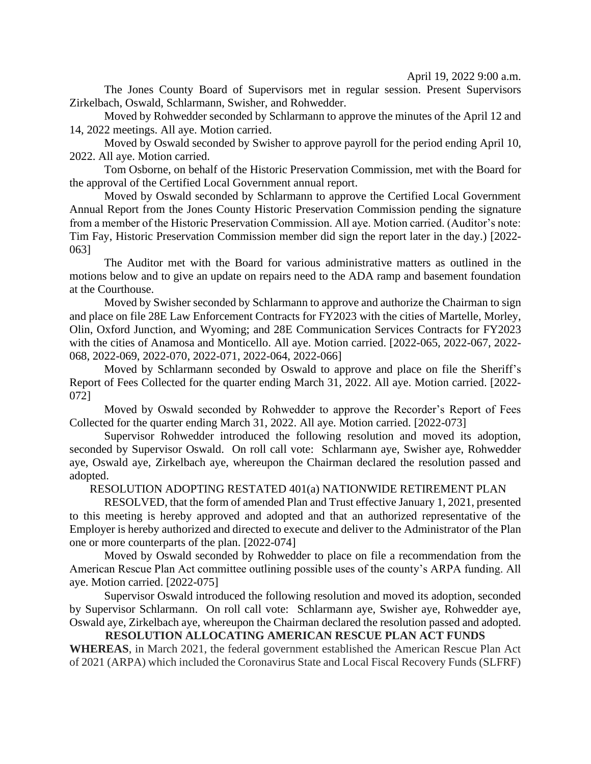April 19, 2022 9:00 a.m.

The Jones County Board of Supervisors met in regular session. Present Supervisors Zirkelbach, Oswald, Schlarmann, Swisher, and Rohwedder.

Moved by Rohwedder seconded by Schlarmann to approve the minutes of the April 12 and 14, 2022 meetings. All aye. Motion carried.

Moved by Oswald seconded by Swisher to approve payroll for the period ending April 10, 2022. All aye. Motion carried.

Tom Osborne, on behalf of the Historic Preservation Commission, met with the Board for the approval of the Certified Local Government annual report.

Moved by Oswald seconded by Schlarmann to approve the Certified Local Government Annual Report from the Jones County Historic Preservation Commission pending the signature from a member of the Historic Preservation Commission. All aye. Motion carried. (Auditor's note: Tim Fay, Historic Preservation Commission member did sign the report later in the day.) [2022- 063]

The Auditor met with the Board for various administrative matters as outlined in the motions below and to give an update on repairs need to the ADA ramp and basement foundation at the Courthouse.

Moved by Swisher seconded by Schlarmann to approve and authorize the Chairman to sign and place on file 28E Law Enforcement Contracts for FY2023 with the cities of Martelle, Morley, Olin, Oxford Junction, and Wyoming; and 28E Communication Services Contracts for FY2023 with the cities of Anamosa and Monticello. All aye. Motion carried. [2022-065, 2022-067, 2022- 068, 2022-069, 2022-070, 2022-071, 2022-064, 2022-066]

Moved by Schlarmann seconded by Oswald to approve and place on file the Sheriff's Report of Fees Collected for the quarter ending March 31, 2022. All aye. Motion carried. [2022- 072]

Moved by Oswald seconded by Rohwedder to approve the Recorder's Report of Fees Collected for the quarter ending March 31, 2022. All aye. Motion carried. [2022-073]

Supervisor Rohwedder introduced the following resolution and moved its adoption, seconded by Supervisor Oswald. On roll call vote: Schlarmann aye, Swisher aye, Rohwedder aye, Oswald aye, Zirkelbach aye, whereupon the Chairman declared the resolution passed and adopted.

## RESOLUTION ADOPTING RESTATED 401(a) NATIONWIDE RETIREMENT PLAN

RESOLVED, that the form of amended Plan and Trust effective January 1, 2021, presented to this meeting is hereby approved and adopted and that an authorized representative of the Employer is hereby authorized and directed to execute and deliver to the Administrator of the Plan one or more counterparts of the plan. [2022-074]

Moved by Oswald seconded by Rohwedder to place on file a recommendation from the American Rescue Plan Act committee outlining possible uses of the county's ARPA funding. All aye. Motion carried. [2022-075]

Supervisor Oswald introduced the following resolution and moved its adoption, seconded by Supervisor Schlarmann. On roll call vote: Schlarmann aye, Swisher aye, Rohwedder aye, Oswald aye, Zirkelbach aye, whereupon the Chairman declared the resolution passed and adopted.

## **RESOLUTION ALLOCATING AMERICAN RESCUE PLAN ACT FUNDS**

**WHEREAS**, in March 2021, the federal government established the American Rescue Plan Act of 2021 (ARPA) which included the Coronavirus State and Local Fiscal Recovery Funds (SLFRF)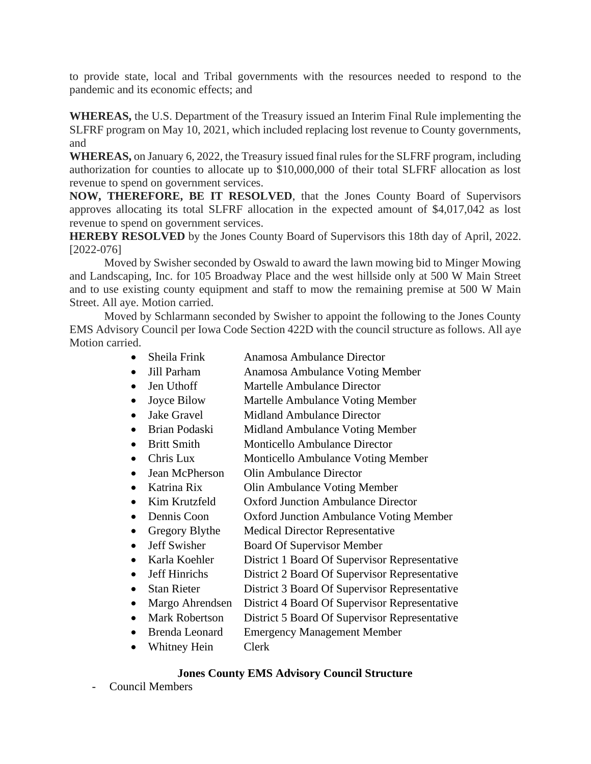to provide state, local and Tribal governments with the resources needed to respond to the pandemic and its economic effects; and

**WHEREAS,** the U.S. Department of the Treasury issued an Interim Final Rule implementing the SLFRF program on May 10, 2021, which included replacing lost revenue to County governments, and

**WHEREAS,** on January 6, 2022, the Treasury issued final rules for the SLFRF program, including authorization for counties to allocate up to \$10,000,000 of their total SLFRF allocation as lost revenue to spend on government services.

**NOW, THEREFORE, BE IT RESOLVED**, that the Jones County Board of Supervisors approves allocating its total SLFRF allocation in the expected amount of \$4,017,042 as lost revenue to spend on government services.

**HEREBY RESOLVED** by the Jones County Board of Supervisors this 18th day of April, 2022. [2022-076]

Moved by Swisher seconded by Oswald to award the lawn mowing bid to Minger Mowing and Landscaping, Inc. for 105 Broadway Place and the west hillside only at 500 W Main Street and to use existing county equipment and staff to mow the remaining premise at 500 W Main Street. All aye. Motion carried.

Moved by Schlarmann seconded by Swisher to appoint the following to the Jones County EMS Advisory Council per Iowa Code Section 422D with the council structure as follows. All aye Motion carried.

- Sheila Frink Anamosa Ambulance Director
- Jill Parham Anamosa Ambulance Voting Member
- Jen Uthoff Martelle Ambulance Director
- Joyce Bilow Martelle Ambulance Voting Member
- Jake Gravel Midland Ambulance Director
- Brian Podaski Midland Ambulance Voting Member
- Britt Smith Monticello Ambulance Director
- Chris Lux Monticello Ambulance Voting Member
- Jean McPherson Olin Ambulance Director
- Katrina Rix Olin Ambulance Voting Member
- Kim Krutzfeld Oxford Junction Ambulance Director
- Dennis Coon Oxford Junction Ambulance Voting Member
- Gregory Blythe Medical Director Representative
- Jeff Swisher Board Of Supervisor Member
- Karla Koehler District 1 Board Of Supervisor Representative
- Jeff Hinrichs District 2 Board Of Supervisor Representative
- Stan Rieter District 3 Board Of Supervisor Representative
- Margo Ahrendsen District 4 Board Of Supervisor Representative
- Mark Robertson District 5 Board Of Supervisor Representative
- Brenda Leonard Emergency Management Member
- Whitney Hein Clerk

## **Jones County EMS Advisory Council Structure**

- Council Members